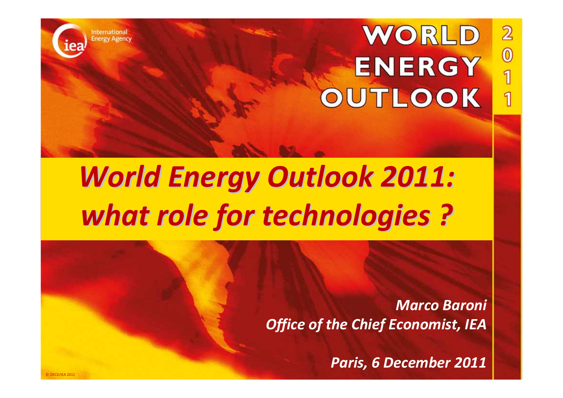**International Energy Agency** 

© OECD/IEA 2011

# WORLD **ENERGY** OUTLOOK

 $\overline{2}$ 

 $\overline{\mathbf{0}}$ 

1

1

# *World Energy Outlook Outlook 2011: what role for technologies technologies ?*

*Marco Baroni Office of the Chief Economist, IEA*

*Paris, 6 December 2011*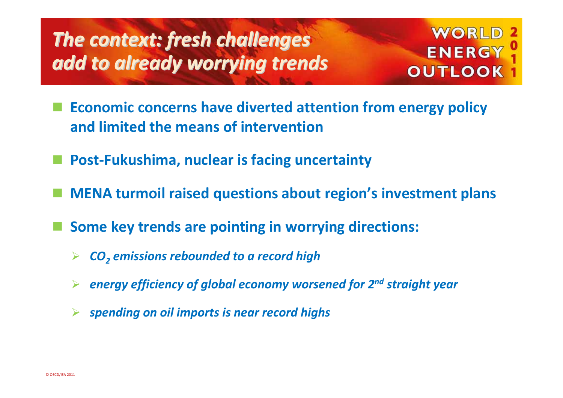# *The context: context: fresh challenges challenges add to already already worrying worrying trends*

### **WORLD ENERGY OUTLOOK**

- in<br>M **Economic concerns have diverted attention from energy policy and limited the means of intervention**
- **Post‐Fukushima, nuclear is facing uncertainty**
- in<br>M **MENA turmoil raised questions about region's investment plans**
- **Some key trends are pointing in worrying directions:**
	- ¾*CO2 emissions rebounded to <sup>a</sup> record high*
	- ¾*energy efficiency of global economy worsened for 2n<sup>d</sup> straight year*
	- ¾ *spending on oil imports is near record highs*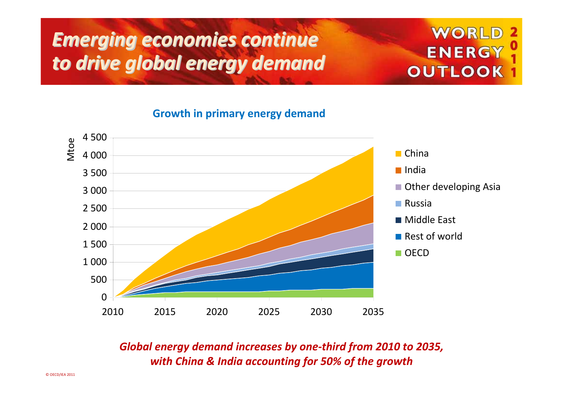# *Emerging Emerging economies economies continue continue to drive global energy demand*

### WORLD **ENERGY OUTLOOK**

**Growth in primary energy demand**



*Global energy demand increases by one‐third from 2010 to 2035, with China & India accounting for 50% of the growth*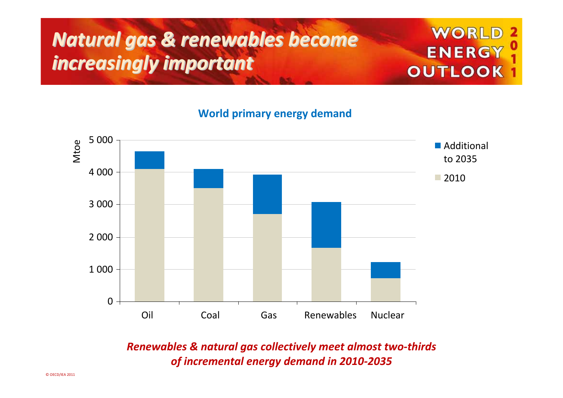# *Natural Natural gas & renewables renewables become increasingly increasingly important important*

### **WORLD ENERGY OUTLOOK**

**World primary energy demand**



*Renewables & natural gas collectively meet almost two‐thirds of incremental energy demand in 2010‐2035*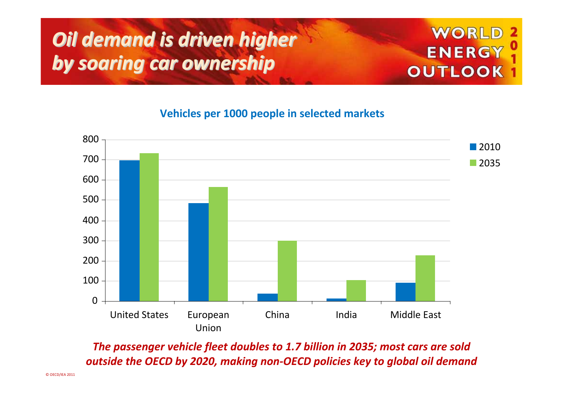# *Oil demand is driven higher by* **soaring car ownership**

### **WORLD** ENERGY **OUTLOOK**

**Vehicles per 1000 people in selected markets**



*The passenger vehicle fleet doubles to 1.7 billion in 2035; most cars are sold outside the OECD by 2020, making non‐OECD policies key to global oil demand*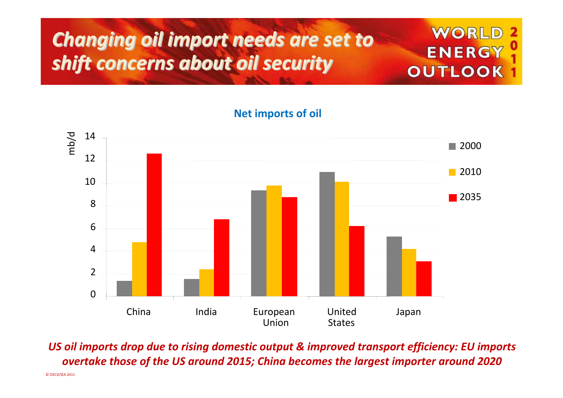# *Changing Changing oil import needs are set to shift concerns concerns about oil security security*

### WORL ENERGY **OUTLOOK**

**Net imports of oil**



*US oil imports drop due to rising domestic output & improved transport efficiency: EU imports overtake those of the US around 2015; China becomes the largest importer around 2020*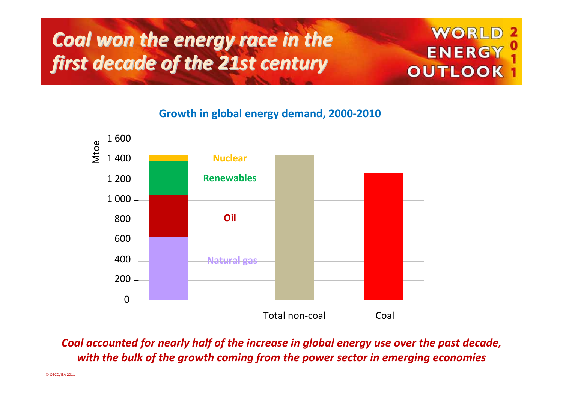# *Coal won the energy race in the first decade of the 21st century century*

### WORL ENERGY **OUTLOOK**

**Growth in global energy demand, 2000‐2010**



*Coal accounted for nearly half of the increase in global energy use over the past decade, with the bulk of the growth coming from the power sector in emerging economies*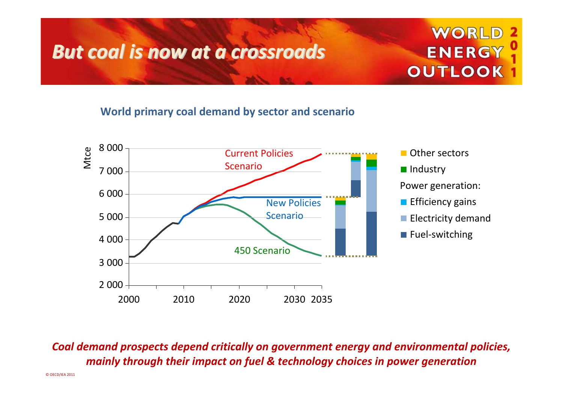### *But coal is now at <sup>a</sup> crossroads crossroads*

### WORLD **ENERGY OUTLOOK**

#### **World primary coal demand by sector and scenario**



*Coal demand prospects depend critically on government energy and environmental policies, mainly through their impact on fuel & technology choices in power generation*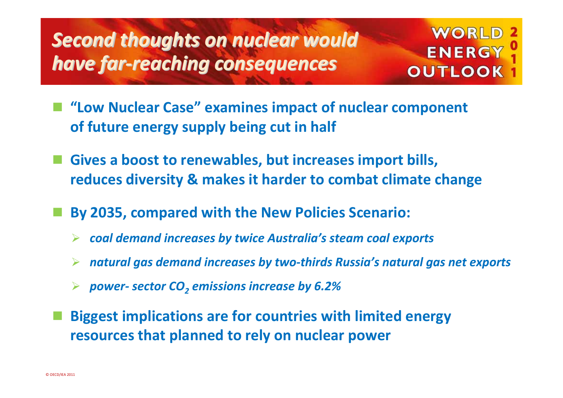# *Second thoughts thoughts on nuclear nuclear would have far‐reaching reaching consequences consequences*

### **WORLD** ENERGY **OUTLOOK**

- **"Low Nuclear Case" examines impact of nuclear component of future energy supply being cut in half**
- **Gives <sup>a</sup> boost to renewables, but increases import bills, reduces diversity & makes it harder to combat climate change**
- **By 2035, compared with the New Policies Scenario:**
	- ¾ *coal demand increases by twice Australia's steam coal exports*
	- ¾*natural gas demand increases by two‐thirds Russia's natural gas net exports*
	- ¾ *power‐ sector CO2 emissions increase by 6.2%*
- **Biggest implications are for countries with limited energy resources that planned to rely on nuclear power**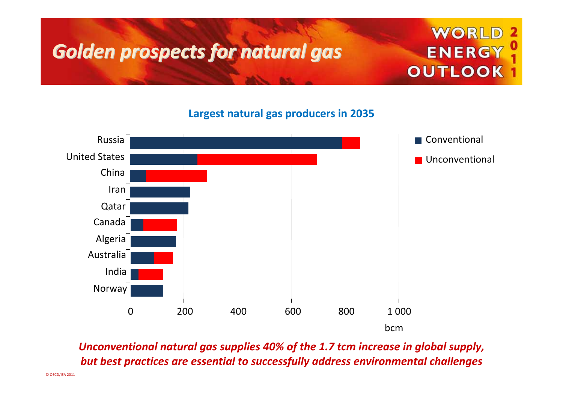# *Golden prospects prospectsfor natural natural gas*

### WORLD **ENERGY OUTLOOK**

**Largest natural gas producers in 2035**



*Unconventional natural gas supplies 40% of the 1.7 tcm increase in global supply, but best practices are essential to successfully address environmental challenges*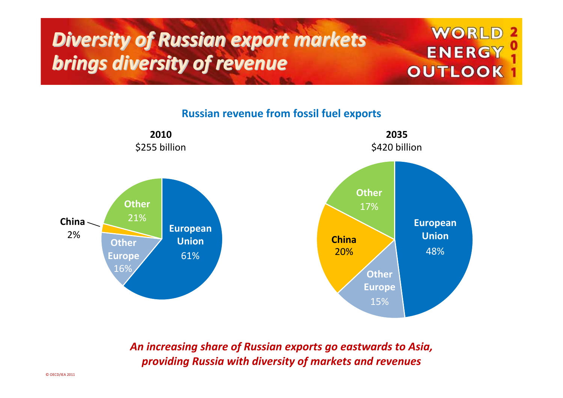# *Diversity Diversity of Russian Russian export markets markets brings diversity of revenue*

### **WORLD ENERGY OUTLOOK**

**Russian revenue from fossil fuel exports**



*An increasing share of Russian exports go eastwards to Asia, providing Russia with diversity of markets and revenues*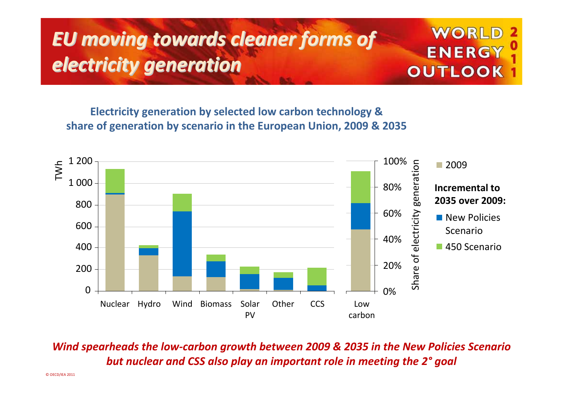# *EU moving towards towards cleaner cleaner forms of electricity electricity generation generation*

### WORL **ENERGY OUTLOOK**

**Electricity generation by selected low carbon technology & share of generation by scenario in the European Union, 2009 & 2035**



*Wind spearheads the low‐carbon growth between 2009 & 2035 in the New Policies Scenario but nuclear and CSS also play an important role in meeting the 2° goal*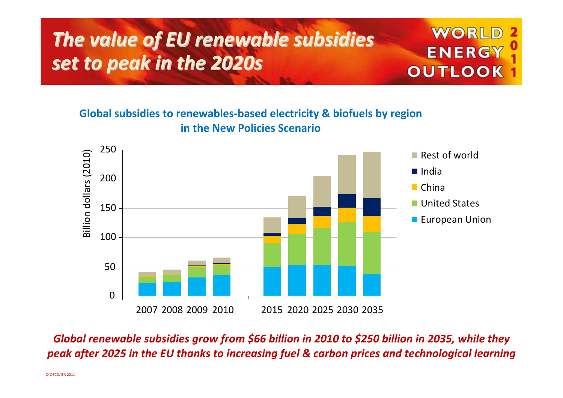# *The value of EU renewable renewable subsidies subsidies set to peak in the 2020s*

#### **Global subsidies to renewables‐based electricity & biofuels by region in the New Policies Scenario**



WORL

ENERGY

**OUTLOOK** 

*Global renewable subsidies grow from \$66 billion in 2010 to \$250 billion in 2035, while they peak after 2025 in the EU thanks to increasing fuel & carbon prices and technological learning*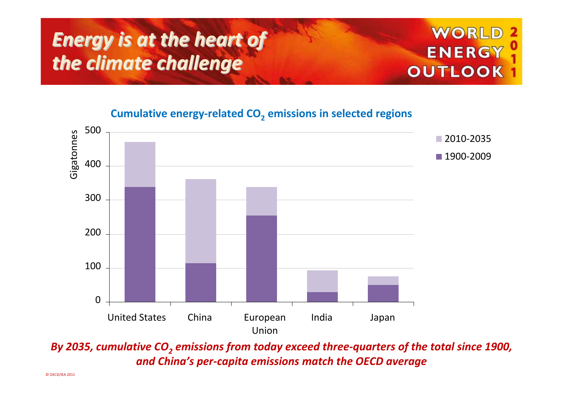## *Energy is at the heart of the climate climate challenge challenge*



**Cumulative energy‐related CO2 emissions in selected regions**



*By 2035, cumulative CO2 emissions from today exceed three‐quarters of the total since 1900, and China's per‐capita emissions match the OECD average*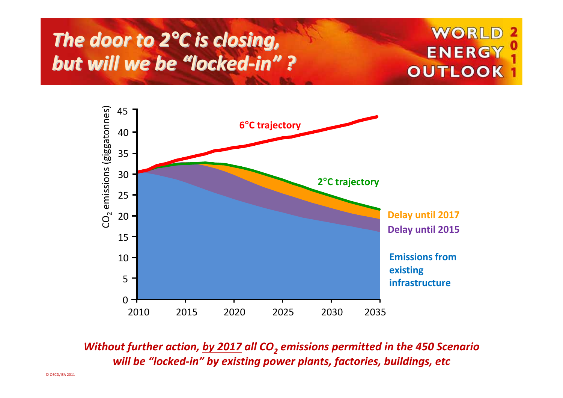## *The door to <sup>2</sup>°<sup>C</sup> is closing, closing, but will we be "locked‐in" ?*

### WORLD **ENERGY OUTLOOK**



*Without further action, by <sup>2017</sup> all CO2 emissions permitted in the <sup>450</sup> Scenario will be "locked‐in" by existing power plants, factories, buildings, etc*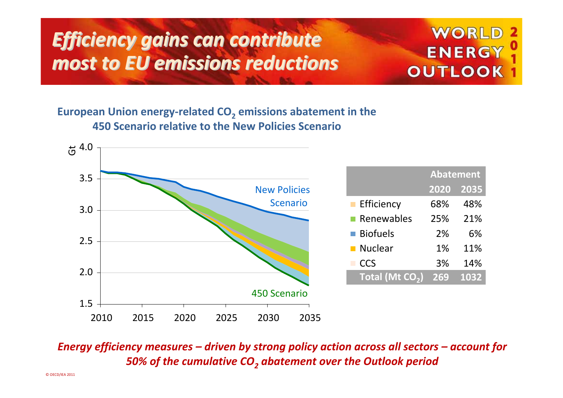# *Efficiency Efficiency gains can contribute contribute most to EU emissions emissionsreductions reductions*

### WORLD **ENERGY OUTLOOK**

#### **European Union energy‐related CO2 emissions abatement in the 450 Scenario relative to the New Policies Scenario**



*Energy efficiency measures – driven by strong policy action across all sectors – account for 50% of the cumulative CO2 abatement over the Outlook period*